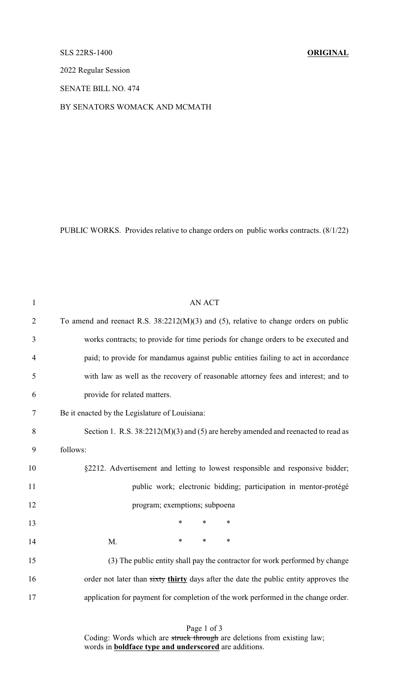## SLS 22RS-1400 **ORIGINAL**

2022 Regular Session

SENATE BILL NO. 474

BY SENATORS WOMACK AND MCMATH

PUBLIC WORKS. Provides relative to change orders on public works contracts. (8/1/22)

| $\mathbf{1}$   | <b>AN ACT</b>                                                                          |
|----------------|----------------------------------------------------------------------------------------|
| $\overline{2}$ | To amend and reenact R.S. $38:2212(M)(3)$ and (5), relative to change orders on public |
| 3              | works contracts; to provide for time periods for change orders to be executed and      |
| 4              | paid; to provide for mandamus against public entities failing to act in accordance     |
| 5              | with law as well as the recovery of reasonable attorney fees and interest; and to      |
| 6              | provide for related matters.                                                           |
| 7              | Be it enacted by the Legislature of Louisiana:                                         |
| 8              | Section 1. R.S. 38:2212(M)(3) and (5) are hereby amended and reenacted to read as      |
| 9              | follows:                                                                               |
| 10             | §2212. Advertisement and letting to lowest responsible and responsive bidder;          |
| 11             | public work; electronic bidding; participation in mentor-protégé                       |
| 12             | program; exemptions; subpoena                                                          |
| 13             | $\ast$<br>$\ast$<br>$\ast$                                                             |
| 14             | $\ast$<br>$\ast$<br>$\ast$<br>M.                                                       |
| 15             | (3) The public entity shall pay the contractor for work performed by change            |
| 16             | order not later than sixty thirty days after the date the public entity approves the   |
| 17             | application for payment for completion of the work performed in the change order.      |
|                |                                                                                        |

Page 1 of 3 Coding: Words which are struck through are deletions from existing law; words in **boldface type and underscored** are additions.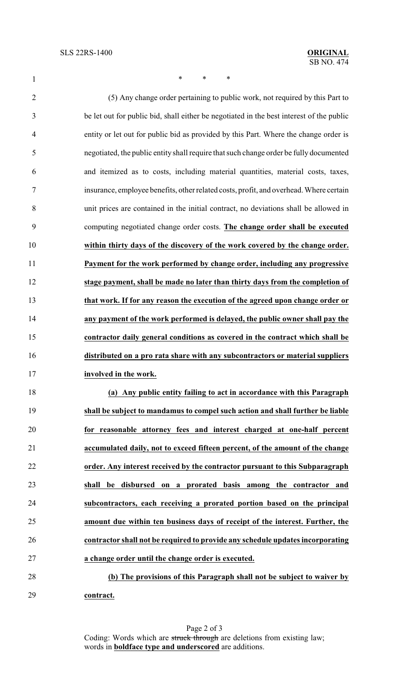1 \* \* \* \*

 (5) Any change order pertaining to public work, not required by this Part to be let out for public bid, shall either be negotiated in the best interest of the public entity or let out for public bid as provided by this Part. Where the change order is negotiated, the public entity shall require that such change order be fully documented and itemized as to costs, including material quantities, material costs, taxes, insurance, employee benefits, other related costs, profit, and overhead. Where certain unit prices are contained in the initial contract, no deviations shall be allowed in computing negotiated change order costs. **The change order shall be executed within thirty days of the discovery of the work covered by the change order. Payment for the work performed by change order, including any progressive stage payment, shall be made no later than thirty days from the completion of that work. If for any reason the execution of the agreed upon change order or any payment of the work performed is delayed, the public owner shall pay the contractor daily general conditions as covered in the contract which shall be distributed on a pro rata share with any subcontractors or material suppliers involved in the work. (a) Any public entity failing to act in accordance with this Paragraph shall be subject to mandamus to compel such action and shall further be liable for reasonable attorney fees and interest charged at one-half percent accumulated daily, not to exceed fifteen percent, of the amount of the change order. Any interest received by the contractor pursuant to this Subparagraph shall be disbursed on a prorated basis among the contractor and**

 **subcontractors, each receiving a prorated portion based on the principal amount due within ten business days of receipt of the interest. Further, the contractor shall not be required to provide any schedule updates incorporating a change order until the change order is executed.**

 **(b) The provisions of this Paragraph shall not be subject to waiver by contract.**